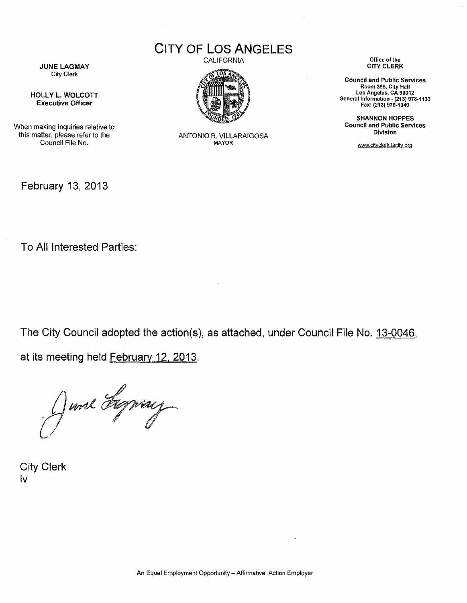CITY OF LOS ANGELES

CALIFORNIA



ANTONIO R. VILLARAIGOSA MAYOR

Office of the CITY CLERK

Council and Public Services Room 395, CIty Hall Los Angeles, CA 90012 General Information . (213) 978·1133 Fax: (213) 978.1040

SHANNON HOPPES Council and Public Services Division

www.cityclerk.lacity.org

JUNE LAGMAY City Clerk

HOLLY L. WOLCOTT Executive Officer

When making inquiries relative to this matter, please refer to the Council File No.

February 13, 2013

To All Interested Parties:

The City Council adopted the action(s), as attached, under Council File No. 13-0046,

at its meeting held February 12, 2013.

June Figning

City Clerk Iv